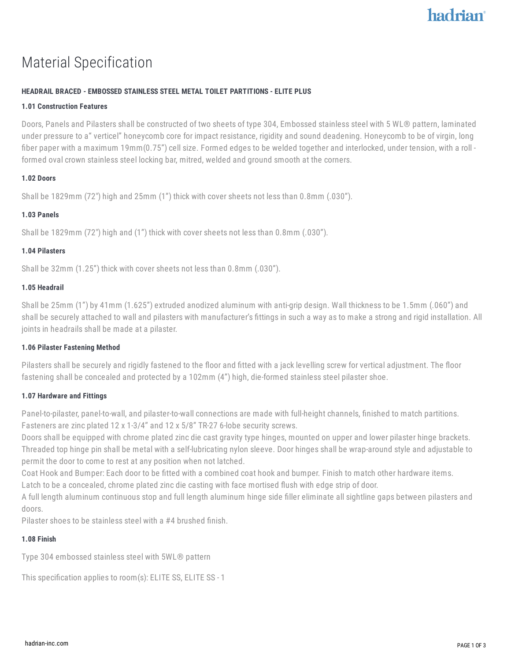# Material Specification

## **HEADRAIL BRACED - EMBOSSED STAINLESS STEEL METAL TOILET PARTITIONS - ELITE PLUS**

#### **1.01 Construction Features**

Doors, Panels and Pilasters shall be constructed of two sheets of type 304, Embossed stainless steel with 5 WL® pattern, laminated under pressure to a" verticel" honeycomb core for impact resistance, rigidity and sound deadening. Honeycomb to be of virgin, long fiber paper with a maximum 19mm(0.75") cell size. Formed edges to be welded together and interlocked, under tension, with a roll formed oval crown stainless steel locking bar, mitred, welded and ground smooth at the corners.

#### **1.02 Doors**

Shall be 1829mm (72") high and 25mm (1") thick with cover sheets not less than 0.8mm (.030").

### **1.03 Panels**

Shall be 1829mm (72") high and (1") thick with cover sheets not less than 0.8mm (.030").

#### **1.04 Pilasters**

Shall be 32mm (1.25") thick with cover sheets not less than 0.8mm (.030").

#### **1.05 Headrail**

Shall be 25mm (1") by 41mm (1.625") extruded anodized aluminum with anti-grip design. Wall thickness to be 1.5mm (.060") and shall be securely attached to wall and pilasters with manufacturer's fittings in such a way as to make a strong and rigid installation. All joints in headrails shall be made at a pilaster.

#### **1.06 Pilaster Fastening Method**

Pilasters shall be securely and rigidly fastened to the floor and fitted with a jack levelling screw for vertical adjustment. The floor fastening shall be concealed and protected by a 102mm (4") high, die-formed stainless steel pilaster shoe.

#### **1.07 Hardware and Fittings**

Panel-to-pilaster, panel-to-wall, and pilaster-to-wall connections are made with full-height channels, finished to match partitions. Fasteners are zinc plated 12 x 1-3/4" and 12 x 5/8" TR-27 6-lobe security screws.

Doors shall be equipped with chrome plated zinc die cast gravity type hinges, mounted on upper and lower pilaster hinge brackets. Threaded top hinge pin shall be metal with a self-lubricating nylon sleeve. Door hinges shall be wrap-around style and adjustable to permit the door to come to rest at any position when not latched.

Coat Hook and Bumper: Each door to be fitted with a combined coat hook and bumper. Finish to match other hardware items.

Latch to be a concealed, chrome plated zinc die casting with face mortised flush with edge strip of door.

A full length aluminum continuous stop and full length aluminum hinge side filler eliminate all sightline gaps between pilasters and doors.

Pilaster shoes to be stainless steel with a #4 brushed finish.

### **1.08 Finish**

Type 304 embossed stainless steel with 5WL® pattern

This specification applies to room(s): ELITE SS, ELITE SS - 1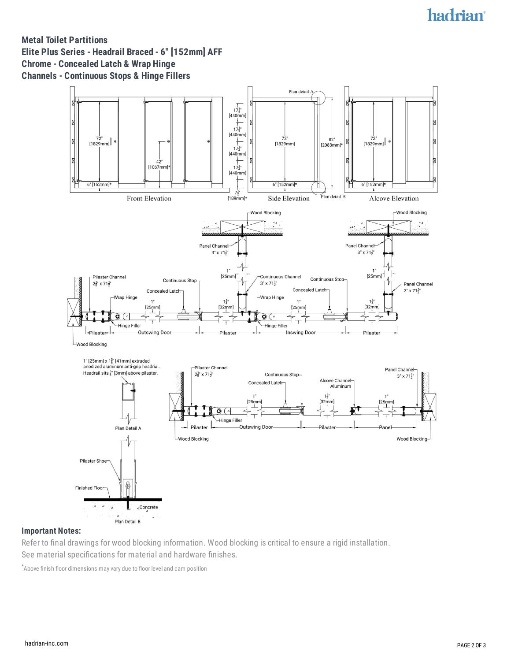# hadrian®

# **Metal Toilet Partitions Elite Plus Series - Headrail Braced - 6" [152mm] AFF Chrome - Concealed Latch & Wrap Hinge Channels - Continuous Stops & Hinge Fillers**



#### **Important Notes:**

Refer to final drawings for wood blocking information. Wood blocking is critical to ensure a rigid installation. See material specifications for material and hardware finishes.

\*Above finish floor dimensions may vary due to floor level and cam position